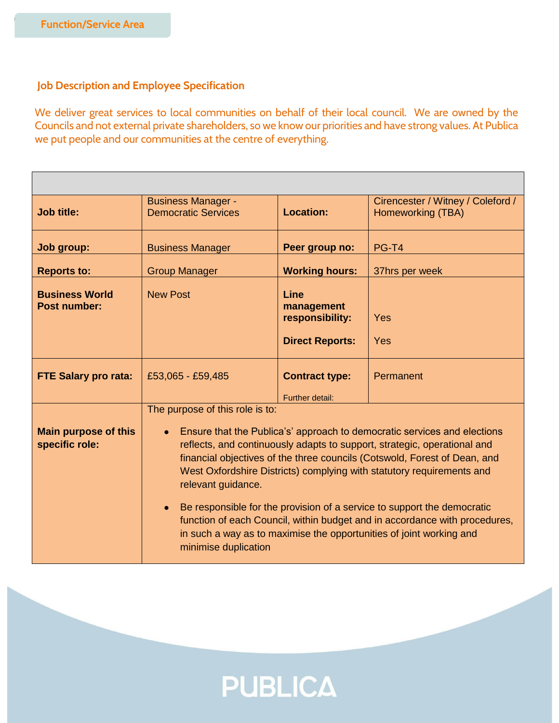## **Job Description and Employee Specification**

We deliver great services to local communities on behalf of their local council. We are owned by the Councils and not external private shareholders, so we know our priorities and have strong values. At Publica we put people and our communities at the centre of everything.

| <b>Job title:</b>                             | <b>Business Manager -</b><br><b>Democratic Services</b>                                                                                                                                                                                                                                                                                                                                                                                                                                                                                                                                                                                  | <b>Location:</b>                                                | Cirencester / Witney / Coleford /<br>Homeworking (TBA) |
|-----------------------------------------------|------------------------------------------------------------------------------------------------------------------------------------------------------------------------------------------------------------------------------------------------------------------------------------------------------------------------------------------------------------------------------------------------------------------------------------------------------------------------------------------------------------------------------------------------------------------------------------------------------------------------------------------|-----------------------------------------------------------------|--------------------------------------------------------|
| Job group:                                    | <b>Business Manager</b>                                                                                                                                                                                                                                                                                                                                                                                                                                                                                                                                                                                                                  | Peer group no:                                                  | <b>PG-T4</b>                                           |
| <b>Reports to:</b>                            | <b>Group Manager</b>                                                                                                                                                                                                                                                                                                                                                                                                                                                                                                                                                                                                                     | <b>Working hours:</b>                                           | 37hrs per week                                         |
| <b>Business World</b><br><b>Post number:</b>  | <b>New Post</b>                                                                                                                                                                                                                                                                                                                                                                                                                                                                                                                                                                                                                          | Line<br>management<br>responsibility:<br><b>Direct Reports:</b> | Yes<br>Yes                                             |
|                                               |                                                                                                                                                                                                                                                                                                                                                                                                                                                                                                                                                                                                                                          |                                                                 |                                                        |
| <b>FTE Salary pro rata:</b>                   | £53,065 - £59,485                                                                                                                                                                                                                                                                                                                                                                                                                                                                                                                                                                                                                        | <b>Contract type:</b>                                           | Permanent                                              |
|                                               |                                                                                                                                                                                                                                                                                                                                                                                                                                                                                                                                                                                                                                          | Further detail:                                                 |                                                        |
| <b>Main purpose of this</b><br>specific role: | The purpose of this role is to:<br>Ensure that the Publica's' approach to democratic services and elections<br>reflects, and continuously adapts to support, strategic, operational and<br>financial objectives of the three councils (Cotswold, Forest of Dean, and<br>West Oxfordshire Districts) complying with statutory requirements and<br>relevant guidance.<br>Be responsible for the provision of a service to support the democratic<br>$\bullet$<br>function of each Council, within budget and in accordance with procedures,<br>in such a way as to maximise the opportunities of joint working and<br>minimise duplication |                                                                 |                                                        |

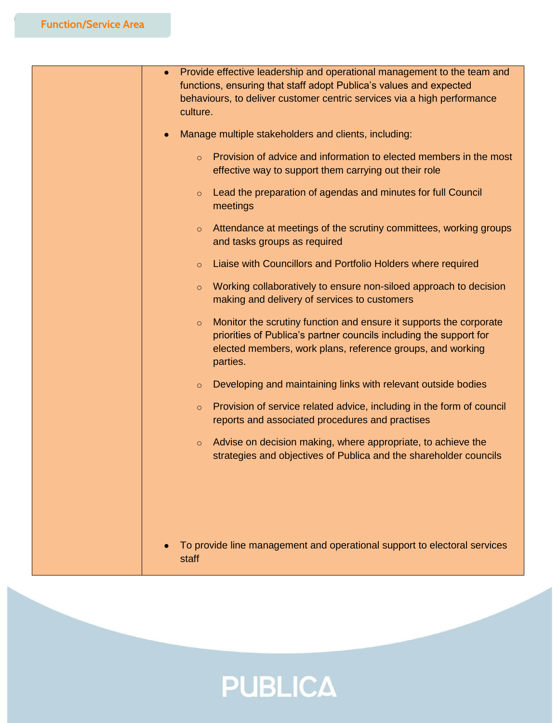| Provide effective leadership and operational management to the team and<br>functions, ensuring that staff adopt Publica's values and expected<br>behaviours, to deliver customer centric services via a high performance<br>culture. |  |
|--------------------------------------------------------------------------------------------------------------------------------------------------------------------------------------------------------------------------------------|--|
| Manage multiple stakeholders and clients, including:                                                                                                                                                                                 |  |
| Provision of advice and information to elected members in the most<br>$\circ$<br>effective way to support them carrying out their role                                                                                               |  |
| Lead the preparation of agendas and minutes for full Council<br>$\circ$<br>meetings                                                                                                                                                  |  |
| Attendance at meetings of the scrutiny committees, working groups<br>$\circ$<br>and tasks groups as required                                                                                                                         |  |
| Liaise with Councillors and Portfolio Holders where required<br>$\circ$                                                                                                                                                              |  |
| Working collaboratively to ensure non-siloed approach to decision<br>$\circ$<br>making and delivery of services to customers                                                                                                         |  |
| Monitor the scrutiny function and ensure it supports the corporate<br>$\circ$<br>priorities of Publica's partner councils including the support for<br>elected members, work plans, reference groups, and working<br>parties.        |  |
| Developing and maintaining links with relevant outside bodies<br>$\circ$                                                                                                                                                             |  |
| Provision of service related advice, including in the form of council<br>$\circ$<br>reports and associated procedures and practises                                                                                                  |  |
| Advise on decision making, where appropriate, to achieve the<br>$\circ$<br>strategies and objectives of Publica and the shareholder councils                                                                                         |  |
|                                                                                                                                                                                                                                      |  |
| To provide line management and operational support to electoral services<br>staff                                                                                                                                                    |  |

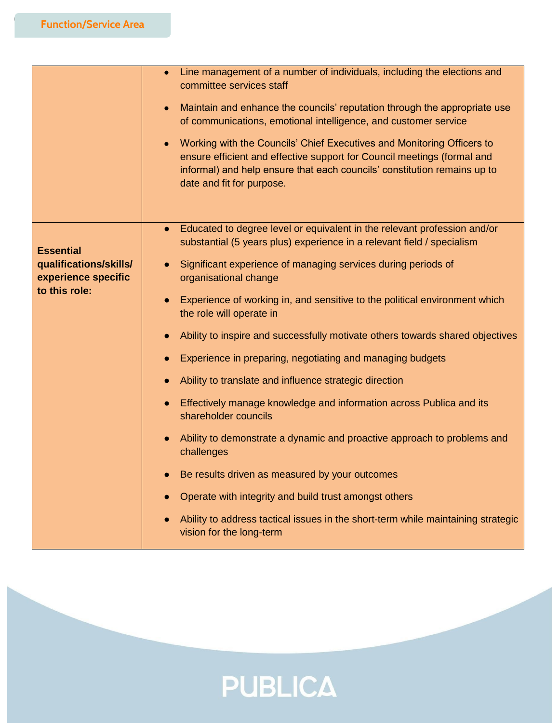|                                                                                    | Line management of a number of individuals, including the elections and<br>$\bullet$<br>committee services staff<br>Maintain and enhance the councils' reputation through the appropriate use<br>$\bullet$<br>of communications, emotional intelligence, and customer service<br>Working with the Councils' Chief Executives and Monitoring Officers to<br>$\bullet$<br>ensure efficient and effective support for Council meetings (formal and<br>informal) and help ensure that each councils' constitution remains up to<br>date and fit for purpose.                                                                                                                                                                                                                                                                                                                                                                                                                                                                                           |
|------------------------------------------------------------------------------------|----------------------------------------------------------------------------------------------------------------------------------------------------------------------------------------------------------------------------------------------------------------------------------------------------------------------------------------------------------------------------------------------------------------------------------------------------------------------------------------------------------------------------------------------------------------------------------------------------------------------------------------------------------------------------------------------------------------------------------------------------------------------------------------------------------------------------------------------------------------------------------------------------------------------------------------------------------------------------------------------------------------------------------------------------|
| <b>Essential</b><br>qualifications/skills/<br>experience specific<br>to this role: | Educated to degree level or equivalent in the relevant profession and/or<br>$\bullet$<br>substantial (5 years plus) experience in a relevant field / specialism<br>Significant experience of managing services during periods of<br>$\bullet$<br>organisational change<br>Experience of working in, and sensitive to the political environment which<br>the role will operate in<br>Ability to inspire and successfully motivate others towards shared objectives<br>Experience in preparing, negotiating and managing budgets<br>Ability to translate and influence strategic direction<br>Effectively manage knowledge and information across Publica and its<br>$\bullet$<br>shareholder councils<br>Ability to demonstrate a dynamic and proactive approach to problems and<br>$\bullet$<br>challenges<br>Be results driven as measured by your outcomes<br>Operate with integrity and build trust amongst others<br>Ability to address tactical issues in the short-term while maintaining strategic<br>$\bullet$<br>vision for the long-term |

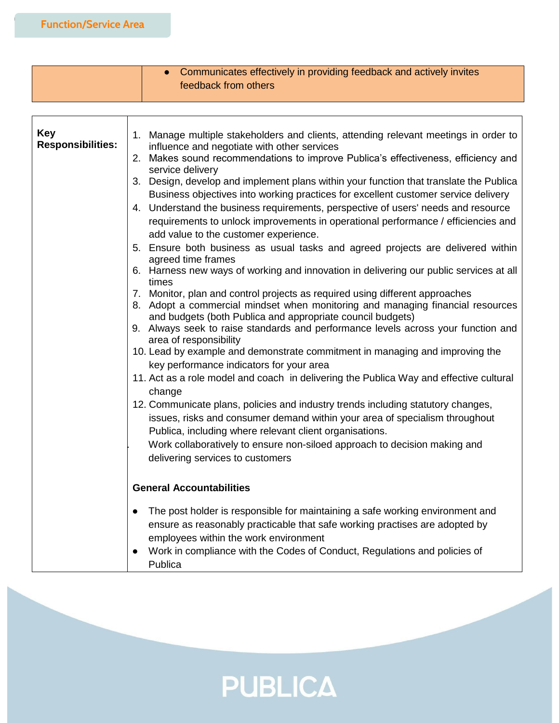|                                        | Communicates effectively in providing feedback and actively invites<br>feedback from others                                                                                                                                                                                                                                                                                                                                                                                                                                                                                                                                                                                                                                                                                                                                                                                                                                                                                                                                                                                                                                                                                                                                                                                                                                                                                                                                                                                                                                                                                                                                                                                                                                                                                                  |
|----------------------------------------|----------------------------------------------------------------------------------------------------------------------------------------------------------------------------------------------------------------------------------------------------------------------------------------------------------------------------------------------------------------------------------------------------------------------------------------------------------------------------------------------------------------------------------------------------------------------------------------------------------------------------------------------------------------------------------------------------------------------------------------------------------------------------------------------------------------------------------------------------------------------------------------------------------------------------------------------------------------------------------------------------------------------------------------------------------------------------------------------------------------------------------------------------------------------------------------------------------------------------------------------------------------------------------------------------------------------------------------------------------------------------------------------------------------------------------------------------------------------------------------------------------------------------------------------------------------------------------------------------------------------------------------------------------------------------------------------------------------------------------------------------------------------------------------------|
|                                        |                                                                                                                                                                                                                                                                                                                                                                                                                                                                                                                                                                                                                                                                                                                                                                                                                                                                                                                                                                                                                                                                                                                                                                                                                                                                                                                                                                                                                                                                                                                                                                                                                                                                                                                                                                                              |
| <b>Key</b><br><b>Responsibilities:</b> | 1. Manage multiple stakeholders and clients, attending relevant meetings in order to<br>influence and negotiate with other services<br>Makes sound recommendations to improve Publica's effectiveness, efficiency and<br>2.<br>service delivery<br>3. Design, develop and implement plans within your function that translate the Publica<br>Business objectives into working practices for excellent customer service delivery<br>4. Understand the business requirements, perspective of users' needs and resource<br>requirements to unlock improvements in operational performance / efficiencies and<br>add value to the customer experience.<br>5. Ensure both business as usual tasks and agreed projects are delivered within<br>agreed time frames<br>6. Harness new ways of working and innovation in delivering our public services at all<br>times<br>7. Monitor, plan and control projects as required using different approaches<br>8. Adopt a commercial mindset when monitoring and managing financial resources<br>and budgets (both Publica and appropriate council budgets)<br>9. Always seek to raise standards and performance levels across your function and<br>area of responsibility<br>10. Lead by example and demonstrate commitment in managing and improving the<br>key performance indicators for your area<br>11. Act as a role model and coach in delivering the Publica Way and effective cultural<br>change<br>12. Communicate plans, policies and industry trends including statutory changes,<br>issues, risks and consumer demand within your area of specialism throughout<br>Publica, including where relevant client organisations.<br>Work collaboratively to ensure non-siloed approach to decision making and<br>delivering services to customers |
|                                        | <b>General Accountabilities</b>                                                                                                                                                                                                                                                                                                                                                                                                                                                                                                                                                                                                                                                                                                                                                                                                                                                                                                                                                                                                                                                                                                                                                                                                                                                                                                                                                                                                                                                                                                                                                                                                                                                                                                                                                              |
|                                        | The post holder is responsible for maintaining a safe working environment and<br>ensure as reasonably practicable that safe working practises are adopted by<br>employees within the work environment<br>Work in compliance with the Codes of Conduct, Regulations and policies of<br>Publica                                                                                                                                                                                                                                                                                                                                                                                                                                                                                                                                                                                                                                                                                                                                                                                                                                                                                                                                                                                                                                                                                                                                                                                                                                                                                                                                                                                                                                                                                                |

**PUBLICA**